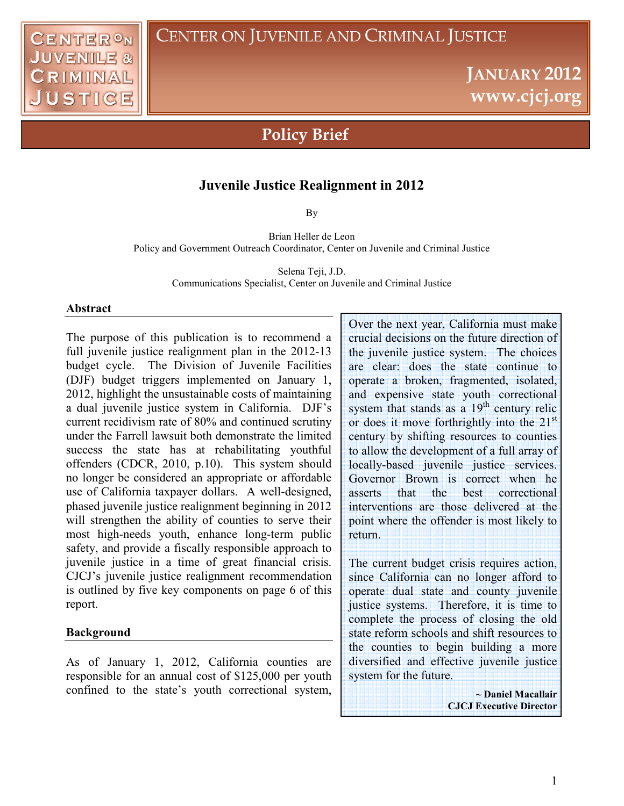# **JANUARY 2012 www.cjcj.org**

# **Policy Brief**

### **Juvenile Justice Realignment in 2012**

By

Brian Heller de Leon Policy and Government Outreach Coordinator, Center on Juvenile and Criminal Justice

> Selena Teji, J.D. Communications Specialist, Center on Juvenile and Criminal Justice

#### **Abstract**

The purpose of this publication is to recommend a full juvenile justice realignment plan in the 2012-13 budget cycle. The Division of Juvenile Facilities (DJF) budget triggers implemented on January 1, 2012, highlight the unsustainable costs of maintaining a dual juvenile justice system in California. DJF's current recidivism rate of 80% and continued scrutiny under the Farrell lawsuit both demonstrate the limited success the state has at rehabilitating youthful offenders (CDCR, 2010, p.10). This system should no longer be considered an appropriate or affordable use of California taxpayer dollars. A well-designed, phased juvenile justice realignment beginning in 2012 will strengthen the ability of counties to serve their most high-needs youth, enhance long-term public safety, and provide a fiscally responsible approach to juvenile justice in a time of great financial crisis. CJCJ's juvenile justice realignment recommendation is outlined by five key components on page 6 of this report.

#### **Background**

As of January 1, 2012, California counties are responsible for an annual cost of \$125,000 per youth confined to the state's youth correctional system, Over the next year, California must make crucial decisions on the future direction of the juvenile justice system. The choices are clear: does the state continue to operate a broken, fragmented, isolated, and expensive state youth correctional system that stands as a  $19<sup>th</sup>$  century relic or does it move forthrightly into the 21<sup>st</sup> century by shifting resources to counties to allow the development of a full array of locally-based juvenile justice services. Governor Brown is correct when he asserts that the best correctional interventions are those delivered at the point where the offender is most likely to return.

The current budget crisis requires action, since California can no longer afford to operate dual state and county juvenile justice systems. Therefore, it is time to complete the process of closing the old state reform schools and shift resources to the counties to begin building a more diversified and effective juvenile justice system for the future.

> **~ Daniel Macallair CJCJ Executive Director**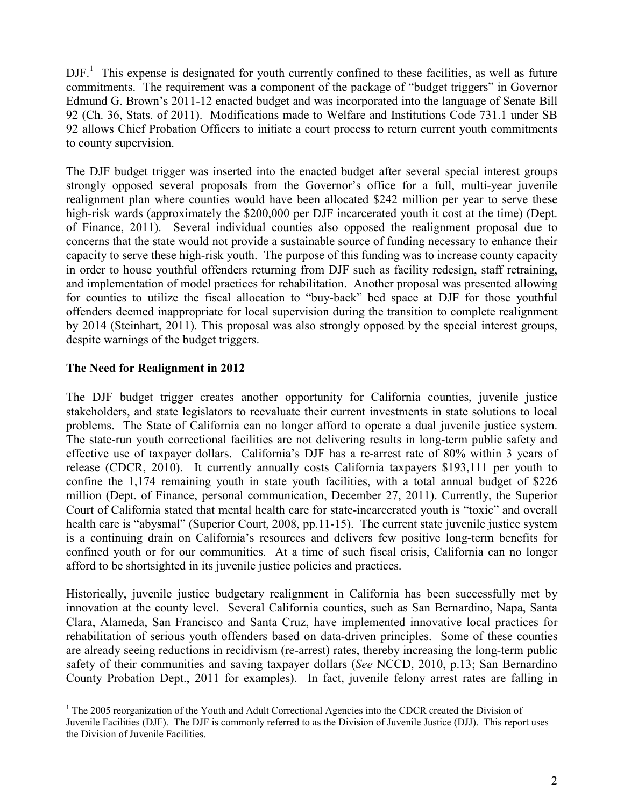$DJF<sup>1</sup>$ . This expense is designated for youth currently confined to these facilities, as well as future commitments. The requirement was a component of the package of "budget triggers" in Governor Edmund G. Brown's 2011-12 enacted budget and was incorporated into the language of Senate Bill 92 (Ch. 36, Stats. of 2011). Modifications made to Welfare and Institutions Code 731.1 under SB 92 allows Chief Probation Officers to initiate a court process to return current youth commitments to county supervision.

The DJF budget trigger was inserted into the enacted budget after several special interest groups strongly opposed several proposals from the Governor's office for a full, multi-year juvenile realignment plan where counties would have been allocated \$242 million per year to serve these high-risk wards (approximately the \$200,000 per DJF incarcerated youth it cost at the time) (Dept. of Finance, 2011). Several individual counties also opposed the realignment proposal due to concerns that the state would not provide a sustainable source of funding necessary to enhance their capacity to serve these high-risk youth. The purpose of this funding was to increase county capacity in order to house youthful offenders returning from DJF such as facility redesign, staff retraining, and implementation of model practices for rehabilitation. Another proposal was presented allowing for counties to utilize the fiscal allocation to "buy-back" bed space at DJF for those youthful offenders deemed inappropriate for local supervision during the transition to complete realignment by 2014 (Steinhart, 2011). This proposal was also strongly opposed by the special interest groups, despite warnings of the budget triggers.

#### **The Need for Realignment in 2012**

<u>.</u>

The DJF budget trigger creates another opportunity for California counties, juvenile justice stakeholders, and state legislators to reevaluate their current investments in state solutions to local problems. The State of California can no longer afford to operate a dual juvenile justice system. The state-run youth correctional facilities are not delivering results in long-term public safety and effective use of taxpayer dollars. California's DJF has a re-arrest rate of 80% within 3 years of release (CDCR, 2010). It currently annually costs California taxpayers \$193,111 per youth to confine the 1,174 remaining youth in state youth facilities, with a total annual budget of \$226 million (Dept. of Finance, personal communication, December 27, 2011). Currently, the Superior Court of California stated that mental health care for state-incarcerated youth is "toxic" and overall health care is "abysmal" (Superior Court, 2008, pp.11-15). The current state juvenile justice system is a continuing drain on California's resources and delivers few positive long-term benefits for confined youth or for our communities. At a time of such fiscal crisis, California can no longer afford to be shortsighted in its juvenile justice policies and practices.

Historically, juvenile justice budgetary realignment in California has been successfully met by innovation at the county level. Several California counties, such as San Bernardino, Napa, Santa Clara, Alameda, San Francisco and Santa Cruz, have implemented innovative local practices for rehabilitation of serious youth offenders based on data-driven principles. Some of these counties are already seeing reductions in recidivism (re-arrest) rates, thereby increasing the long-term public safety of their communities and saving taxpayer dollars (*See* NCCD, 2010, p.13; San Bernardino County Probation Dept., 2011 for examples). In fact, juvenile felony arrest rates are falling in

<sup>&</sup>lt;sup>1</sup> The 2005 reorganization of the Youth and Adult Correctional Agencies into the CDCR created the Division of Juvenile Facilities (DJF). The DJF is commonly referred to as the Division of Juvenile Justice (DJJ). This report uses the Division of Juvenile Facilities.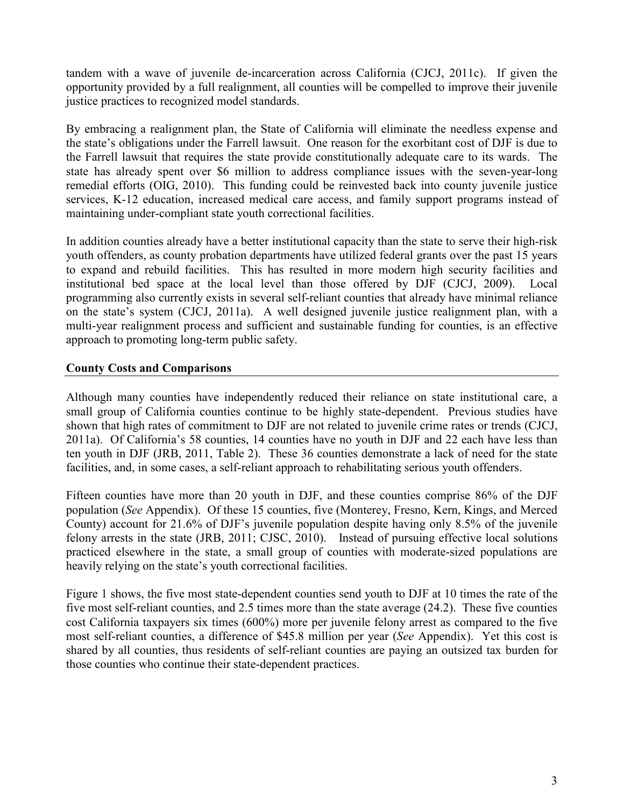tandem with a wave of juvenile de-incarceration across California (CJCJ, 2011c). If given the opportunity provided by a full realignment, all counties will be compelled to improve their juvenile justice practices to recognized model standards.

By embracing a realignment plan, the State of California will eliminate the needless expense and the state's obligations under the Farrell lawsuit. One reason for the exorbitant cost of DJF is due to the Farrell lawsuit that requires the state provide constitutionally adequate care to its wards. The state has already spent over \$6 million to address compliance issues with the seven-year-long remedial efforts (OIG, 2010). This funding could be reinvested back into county juvenile justice services, K-12 education, increased medical care access, and family support programs instead of maintaining under-compliant state youth correctional facilities.

In addition counties already have a better institutional capacity than the state to serve their high-risk youth offenders, as county probation departments have utilized federal grants over the past 15 years to expand and rebuild facilities. This has resulted in more modern high security facilities and institutional bed space at the local level than those offered by DJF (CJCJ, 2009). Local programming also currently exists in several self-reliant counties that already have minimal reliance on the state's system (CJCJ, 2011a). A well designed juvenile justice realignment plan, with a multi-year realignment process and sufficient and sustainable funding for counties, is an effective approach to promoting long-term public safety.

#### **County Costs and Comparisons**

Although many counties have independently reduced their reliance on state institutional care, a small group of California counties continue to be highly state-dependent. Previous studies have shown that high rates of commitment to DJF are not related to juvenile crime rates or trends (CJCJ, 2011a). Of California's 58 counties, 14 counties have no youth in DJF and 22 each have less than ten youth in DJF (JRB, 2011, Table 2). These 36 counties demonstrate a lack of need for the state facilities, and, in some cases, a self-reliant approach to rehabilitating serious youth offenders.

Fifteen counties have more than 20 youth in DJF, and these counties comprise 86% of the DJF population (*See* Appendix). Of these 15 counties, five (Monterey, Fresno, Kern, Kings, and Merced County) account for 21.6% of DJF's juvenile population despite having only 8.5% of the juvenile felony arrests in the state (JRB, 2011; CJSC, 2010). Instead of pursuing effective local solutions practiced elsewhere in the state, a small group of counties with moderate-sized populations are heavily relying on the state's youth correctional facilities.

Figure 1 shows, the five most state-dependent counties send youth to DJF at 10 times the rate of the five most self-reliant counties, and 2.5 times more than the state average (24.2). These five counties cost California taxpayers six times (600%) more per juvenile felony arrest as compared to the five most self-reliant counties, a difference of \$45.8 million per year (*See* Appendix). Yet this cost is shared by all counties, thus residents of self-reliant counties are paying an outsized tax burden for those counties who continue their state-dependent practices.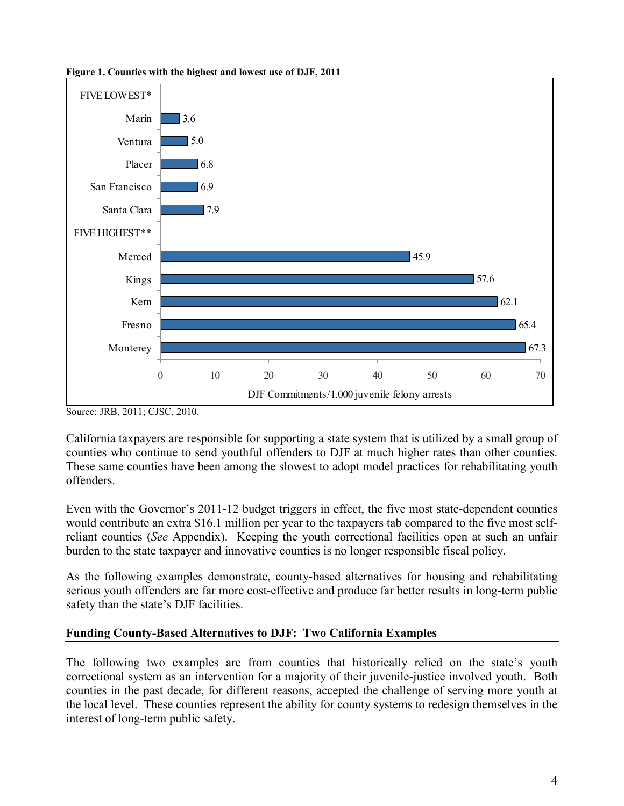

**Figure 1. Counties with the highest and lowest use of DJF, 2011** 

Source: JRB, 2011; CJSC, 2010.

California taxpayers are responsible for supporting a state system that is utilized by a small group of counties who continue to send youthful offenders to DJF at much higher rates than other counties. These same counties have been among the slowest to adopt model practices for rehabilitating youth offenders.

Even with the Governor's 2011-12 budget triggers in effect, the five most state-dependent counties would contribute an extra \$16.1 million per year to the taxpayers tab compared to the five most selfreliant counties (*See* Appendix). Keeping the youth correctional facilities open at such an unfair burden to the state taxpayer and innovative counties is no longer responsible fiscal policy.

As the following examples demonstrate, county-based alternatives for housing and rehabilitating serious youth offenders are far more cost-effective and produce far better results in long-term public safety than the state's DJF facilities.

## **Funding County-Based Alternatives to DJF: Two California Examples**

The following two examples are from counties that historically relied on the state's youth correctional system as an intervention for a majority of their juvenile-justice involved youth. Both counties in the past decade, for different reasons, accepted the challenge of serving more youth at the local level. These counties represent the ability for county systems to redesign themselves in the interest of long-term public safety.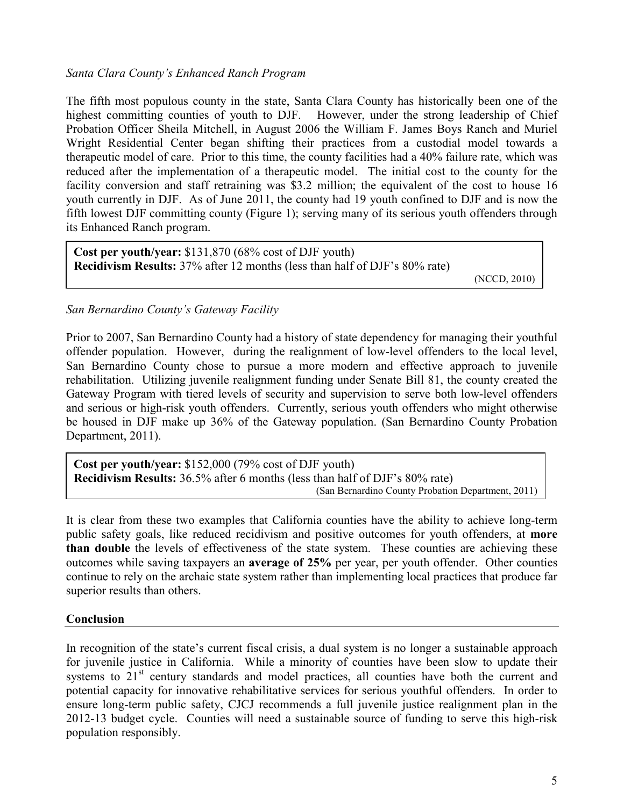#### *Santa Clara County's Enhanced Ranch Program*

The fifth most populous county in the state, Santa Clara County has historically been one of the highest committing counties of youth to DJF. However, under the strong leadership of Chief Probation Officer Sheila Mitchell, in August 2006 the William F. James Boys Ranch and Muriel Wright Residential Center began shifting their practices from a custodial model towards a therapeutic model of care. Prior to this time, the county facilities had a 40% failure rate, which was reduced after the implementation of a therapeutic model. The initial cost to the county for the facility conversion and staff retraining was \$3.2 million; the equivalent of the cost to house 16 youth currently in DJF. As of June 2011, the county had 19 youth confined to DJF and is now the fifth lowest DJF committing county (Figure 1); serving many of its serious youth offenders through its Enhanced Ranch program.

**Cost per youth/year:** \$131,870 (68% cost of DJF youth) **Recidivism Results:** 37% after 12 months (less than half of DJF's 80% rate)

(NCCD, 2010)

#### *San Bernardino County's Gateway Facility*

Prior to 2007, San Bernardino County had a history of state dependency for managing their youthful offender population. However, during the realignment of low-level offenders to the local level, San Bernardino County chose to pursue a more modern and effective approach to juvenile rehabilitation. Utilizing juvenile realignment funding under Senate Bill 81, the county created the Gateway Program with tiered levels of security and supervision to serve both low-level offenders and serious or high-risk youth offenders. Currently, serious youth offenders who might otherwise be housed in DJF make up 36% of the Gateway population. (San Bernardino County Probation Department, 2011).

**Cost per youth/year:** \$152,000 (79% cost of DJF youth) **Recidivism Results:** 36.5% after 6 months (less than half of DJF's 80% rate) (San Bernardino County Probation Department, 2011)

It is clear from these two examples that California counties have the ability to achieve long-term public safety goals, like reduced recidivism and positive outcomes for youth offenders, at **more than double** the levels of effectiveness of the state system. These counties are achieving these outcomes while saving taxpayers an **average of 25%** per year, per youth offender. Other counties continue to rely on the archaic state system rather than implementing local practices that produce far superior results than others.

#### **Conclusion**

In recognition of the state's current fiscal crisis, a dual system is no longer a sustainable approach for juvenile justice in California. While a minority of counties have been slow to update their systems to  $21<sup>st</sup>$  century standards and model practices, all counties have both the current and potential capacity for innovative rehabilitative services for serious youthful offenders. In order to ensure long-term public safety, CJCJ recommends a full juvenile justice realignment plan in the 2012-13 budget cycle. Counties will need a sustainable source of funding to serve this high-risk population responsibly.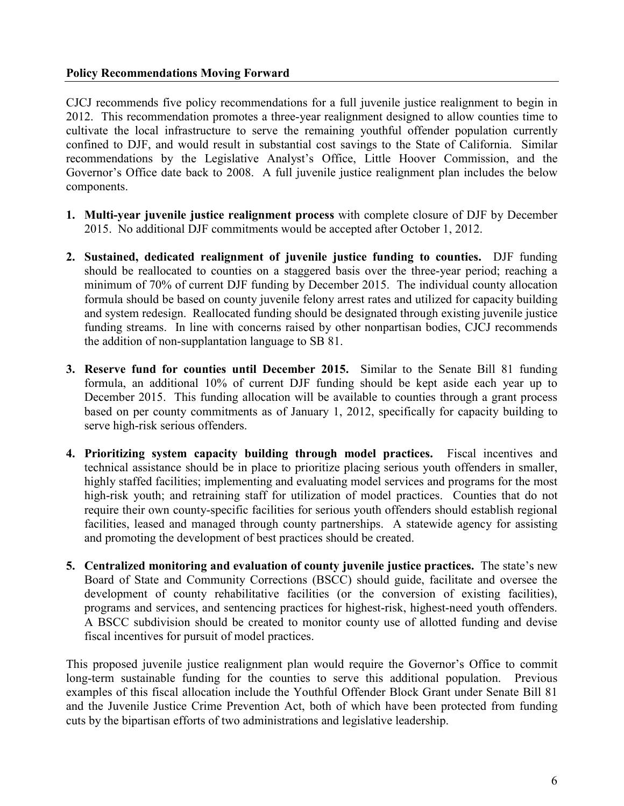#### **Policy Recommendations Moving Forward**

CJCJ recommends five policy recommendations for a full juvenile justice realignment to begin in 2012. This recommendation promotes a three-year realignment designed to allow counties time to cultivate the local infrastructure to serve the remaining youthful offender population currently confined to DJF, and would result in substantial cost savings to the State of California. Similar recommendations by the Legislative Analyst's Office, Little Hoover Commission, and the Governor's Office date back to 2008. A full juvenile justice realignment plan includes the below components.

- **1. Multi-year juvenile justice realignment process** with complete closure of DJF by December 2015. No additional DJF commitments would be accepted after October 1, 2012.
- **2. Sustained, dedicated realignment of juvenile justice funding to counties.** DJF funding should be reallocated to counties on a staggered basis over the three-year period; reaching a minimum of 70% of current DJF funding by December 2015. The individual county allocation formula should be based on county juvenile felony arrest rates and utilized for capacity building and system redesign. Reallocated funding should be designated through existing juvenile justice funding streams. In line with concerns raised by other nonpartisan bodies, CJCJ recommends the addition of non-supplantation language to SB 81.
- **3. Reserve fund for counties until December 2015.** Similar to the Senate Bill 81 funding formula, an additional 10% of current DJF funding should be kept aside each year up to December 2015. This funding allocation will be available to counties through a grant process based on per county commitments as of January 1, 2012, specifically for capacity building to serve high-risk serious offenders.
- **4. Prioritizing system capacity building through model practices.** Fiscal incentives and technical assistance should be in place to prioritize placing serious youth offenders in smaller, highly staffed facilities; implementing and evaluating model services and programs for the most high-risk youth; and retraining staff for utilization of model practices. Counties that do not require their own county-specific facilities for serious youth offenders should establish regional facilities, leased and managed through county partnerships. A statewide agency for assisting and promoting the development of best practices should be created.
- **5. Centralized monitoring and evaluation of county juvenile justice practices.** The state's new Board of State and Community Corrections (BSCC) should guide, facilitate and oversee the development of county rehabilitative facilities (or the conversion of existing facilities), programs and services, and sentencing practices for highest-risk, highest-need youth offenders. A BSCC subdivision should be created to monitor county use of allotted funding and devise fiscal incentives for pursuit of model practices.

This proposed juvenile justice realignment plan would require the Governor's Office to commit long-term sustainable funding for the counties to serve this additional population. Previous examples of this fiscal allocation include the Youthful Offender Block Grant under Senate Bill 81 and the Juvenile Justice Crime Prevention Act, both of which have been protected from funding cuts by the bipartisan efforts of two administrations and legislative leadership.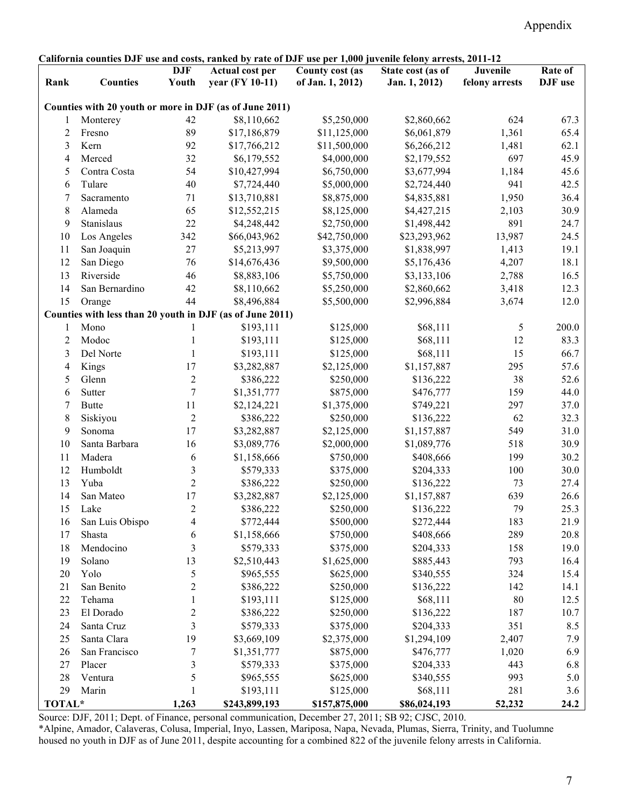| California counties DJF use and costs, ranked by rate of DJF use per 1,000 juvenile felony arrests, 2011-12 |                 |                     |                                           |                                     |                                    |                            |                    |
|-------------------------------------------------------------------------------------------------------------|-----------------|---------------------|-------------------------------------------|-------------------------------------|------------------------------------|----------------------------|--------------------|
| Rank                                                                                                        | <b>Counties</b> | <b>DJF</b><br>Youth | <b>Actual cost per</b><br>year (FY 10-11) | County cost (as<br>of Jan. 1, 2012) | State cost (as of<br>Jan. 1, 2012) | Juvenile<br>felony arrests | Rate of<br>DJF use |
| Counties with 20 youth or more in DJF (as of June 2011)                                                     |                 |                     |                                           |                                     |                                    |                            |                    |
| 1                                                                                                           | Monterey        | 42                  | \$8,110,662                               | \$5,250,000                         | \$2,860,662                        | 624                        | 67.3               |
| 2                                                                                                           | Fresno          | 89                  | \$17,186,879                              | \$11,125,000                        | \$6,061,879                        | 1,361                      | 65.4               |
| 3                                                                                                           | Kern            | 92                  | \$17,766,212                              | \$11,500,000                        | \$6,266,212                        | 1,481                      | 62.1               |
| 4                                                                                                           | Merced          | 32                  | \$6,179,552                               | \$4,000,000                         | \$2,179,552                        | 697                        | 45.9               |
| 5                                                                                                           | Contra Costa    | 54                  | \$10,427,994                              | \$6,750,000                         | \$3,677,994                        | 1,184                      | 45.6               |
| 6                                                                                                           | Tulare          | 40                  | \$7,724,440                               | \$5,000,000                         | \$2,724,440                        | 941                        | 42.5               |
| 7                                                                                                           | Sacramento      | 71                  | \$13,710,881                              | \$8,875,000                         | \$4,835,881                        | 1,950                      | 36.4               |
| 8                                                                                                           | Alameda         | 65                  | \$12,552,215                              | \$8,125,000                         | \$4,427,215                        | 2,103                      | 30.9               |
| 9                                                                                                           | Stanislaus      | 22                  | \$4,248,442                               | \$2,750,000                         | \$1,498,442                        | 891                        | 24.7               |
| 10                                                                                                          | Los Angeles     | 342                 | \$66,043,962                              | \$42,750,000                        | \$23,293,962                       | 13,987                     | 24.5               |
| 11                                                                                                          | San Joaquin     | $27\,$              | \$5,213,997                               | \$3,375,000                         | \$1,838,997                        | 1,413                      | 19.1               |
| 12                                                                                                          | San Diego       | 76                  | \$14,676,436                              | \$9,500,000                         | \$5,176,436                        | 4,207                      | 18.1               |
| 13                                                                                                          | Riverside       | 46                  | \$8,883,106                               | \$5,750,000                         | \$3,133,106                        | 2,788                      | 16.5               |
| 14                                                                                                          | San Bernardino  | 42                  | \$8,110,662                               | \$5,250,000                         | \$2,860,662                        | 3,418                      | 12.3               |
| 15                                                                                                          | Orange          | 44                  | \$8,496,884                               | \$5,500,000                         | \$2,996,884                        | 3,674                      | 12.0               |
| Counties with less than 20 youth in DJF (as of June 2011)                                                   |                 |                     |                                           |                                     |                                    |                            |                    |
| 1                                                                                                           | Mono            |                     | \$193,111                                 | \$125,000                           | \$68,111                           | 5                          | 200.0              |
| 2                                                                                                           | Modoc           | 1                   | \$193,111                                 | \$125,000                           | \$68,111                           | 12                         | 83.3               |
| 3                                                                                                           | Del Norte       | $\mathbf{1}$        | \$193,111                                 | \$125,000                           | \$68,111                           | 15                         | 66.7               |
| 4                                                                                                           | Kings           | 17                  | \$3,282,887                               | \$2,125,000                         | \$1,157,887                        | 295                        | 57.6               |
| 5                                                                                                           | Glenn           | $\overline{2}$      | \$386,222                                 | \$250,000                           | \$136,222                          | 38                         | 52.6               |
| 6                                                                                                           | Sutter          | 7                   | \$1,351,777                               | \$875,000                           | \$476,777                          | 159                        | 44.0               |
| 7                                                                                                           | <b>Butte</b>    | 11                  | \$2,124,221                               | \$1,375,000                         | \$749,221                          | 297                        | 37.0               |
| 8                                                                                                           | Siskiyou        | $\overline{c}$      | \$386,222                                 | \$250,000                           | \$136,222                          | 62                         | 32.3               |
| 9                                                                                                           | Sonoma          | 17                  | \$3,282,887                               | \$2,125,000                         | \$1,157,887                        | 549                        | 31.0               |
| 10                                                                                                          | Santa Barbara   | 16                  | \$3,089,776                               | \$2,000,000                         | \$1,089,776                        | 518                        | 30.9               |
| 11                                                                                                          | Madera          | 6                   | \$1,158,666                               | \$750,000                           | \$408,666                          | 199                        | 30.2               |
| 12                                                                                                          | Humboldt        | 3                   | \$579,333                                 | \$375,000                           | \$204,333                          | 100                        | 30.0               |
| 13                                                                                                          | Yuba            | $\overline{2}$      | \$386,222                                 | \$250,000                           | \$136,222                          | 73                         | 27.4               |
| 14                                                                                                          | San Mateo       | 17                  | \$3,282,887                               | \$2,125,000                         | \$1,157,887                        | 639                        | 26.6               |
| 15                                                                                                          | Lake            | $\overline{2}$      |                                           | \$250,000                           | \$136,222                          | 79                         | 25.3               |
| 16                                                                                                          | San Luis Obispo | 4                   | \$386,222<br>\$772,444                    | \$500,000                           | \$272,444                          | 183                        | 21.9               |
| 17                                                                                                          | Shasta          | 6                   | \$1,158,666                               | \$750,000                           | \$408,666                          | 289                        | 20.8               |
| 18                                                                                                          | Mendocino       | 3                   | \$579,333                                 | \$375,000                           | \$204,333                          | 158                        | 19.0               |
| 19                                                                                                          | Solano          | 13                  | \$2,510,443                               | \$1,625,000                         |                                    | 793                        |                    |
|                                                                                                             | Yolo            | 5                   |                                           |                                     | \$885,443                          | 324                        | 16.4               |
| 20<br>21                                                                                                    | San Benito      |                     | \$965,555<br>\$386,222                    | \$625,000                           | \$340,555                          | 142                        | 15.4               |
|                                                                                                             | Tehama          | 2                   |                                           | \$250,000                           | \$136,222                          | $80\,$                     | 14.1               |
| 22<br>23                                                                                                    |                 | 1                   | \$193,111                                 | \$125,000                           | \$68,111                           |                            | 12.5               |
|                                                                                                             | El Dorado       | 2                   | \$386,222                                 | \$250,000                           | \$136,222                          | 187                        | 10.7               |
| 24                                                                                                          | Santa Cruz      | 3                   | \$579,333                                 | \$375,000                           | \$204,333                          | 351                        | 8.5                |
| 25                                                                                                          | Santa Clara     | 19                  | \$3,669,109                               | \$2,375,000                         | \$1,294,109                        | 2,407                      | 7.9                |
| 26                                                                                                          | San Francisco   | 7                   | \$1,351,777                               | \$875,000                           | \$476,777                          | 1,020                      | 6.9                |
| 27                                                                                                          | Placer          | 3                   | \$579,333                                 | \$375,000                           | \$204,333                          | 443                        | 6.8                |
| 28                                                                                                          | Ventura         | 5                   | \$965,555                                 | \$625,000                           | \$340,555                          | 993                        | 5.0                |
| 29                                                                                                          | Marin           | 1                   | \$193,111                                 | \$125,000                           | \$68,111                           | 281                        | 3.6                |
| TOTAL*                                                                                                      |                 | 1,263               | \$243,899,193                             | \$157,875,000                       | \$86,024,193                       | 52,232                     | 24.2               |

Source: DJF, 2011; Dept. of Finance, personal communication, December 27, 2011; SB 92; CJSC, 2010.

\*Alpine, Amador, Calaveras, Colusa, Imperial, Inyo, Lassen, Mariposa, Napa, Nevada, Plumas, Sierra, Trinity, and Tuolumne housed no youth in DJF as of June 2011, despite accounting for a combined 822 of the juvenile felony arrests in California.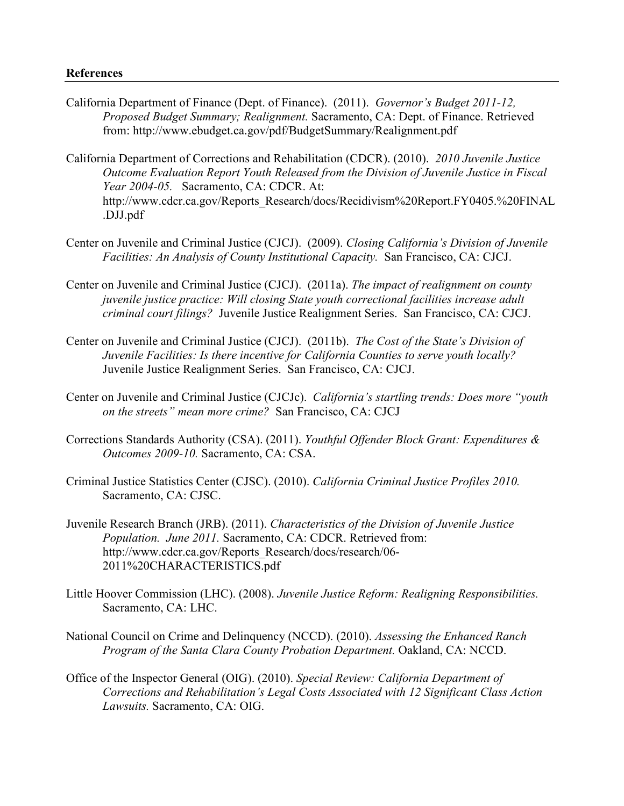California Department of Finance (Dept. of Finance). (2011). *Governor's Budget 2011-12, Proposed Budget Summary; Realignment.* Sacramento, CA: Dept. of Finance. Retrieved from: http://www.ebudget.ca.gov/pdf/BudgetSummary/Realignment.pdf

California Department of Corrections and Rehabilitation (CDCR). (2010). *2010 Juvenile Justice Outcome Evaluation Report Youth Released from the Division of Juvenile Justice in Fiscal Year 2004-05.* Sacramento, CA: CDCR. At: http://www.cdcr.ca.gov/Reports\_Research/docs/Recidivism%20Report.FY0405.%20FINAL .DJJ.pdf

- Center on Juvenile and Criminal Justice (CJCJ). (2009). *Closing California's Division of Juvenile Facilities: An Analysis of County Institutional Capacity.* San Francisco, CA: CJCJ.
- Center on Juvenile and Criminal Justice (CJCJ). (2011a). *The impact of realignment on county juvenile justice practice: Will closing State youth correctional facilities increase adult criminal court filings?* Juvenile Justice Realignment Series. San Francisco, CA: CJCJ.
- Center on Juvenile and Criminal Justice (CJCJ). (2011b). *The Cost of the State's Division of Juvenile Facilities: Is there incentive for California Counties to serve youth locally?* Juvenile Justice Realignment Series. San Francisco, CA: CJCJ.
- Center on Juvenile and Criminal Justice (CJCJc). *California's startling trends: Does more "youth on the streets" mean more crime?* San Francisco, CA: CJCJ
- Corrections Standards Authority (CSA). (2011). *Youthful Offender Block Grant: Expenditures & Outcomes 2009-10.* Sacramento, CA: CSA.
- Criminal Justice Statistics Center (CJSC). (2010). *California Criminal Justice Profiles 2010.*  Sacramento, CA: CJSC.
- Juvenile Research Branch (JRB). (2011). *Characteristics of the Division of Juvenile Justice Population. June 2011.* Sacramento, CA: CDCR. Retrieved from: http://www.cdcr.ca.gov/Reports\_Research/docs/research/06- 2011%20CHARACTERISTICS.pdf
- Little Hoover Commission (LHC). (2008). *Juvenile Justice Reform: Realigning Responsibilities.* Sacramento, CA: LHC.
- National Council on Crime and Delinquency (NCCD). (2010). *Assessing the Enhanced Ranch Program of the Santa Clara County Probation Department. Oakland, CA: NCCD.*
- Office of the Inspector General (OIG). (2010). *Special Review: California Department of Corrections and Rehabilitation's Legal Costs Associated with 12 Significant Class Action Lawsuits.* Sacramento, CA: OIG.